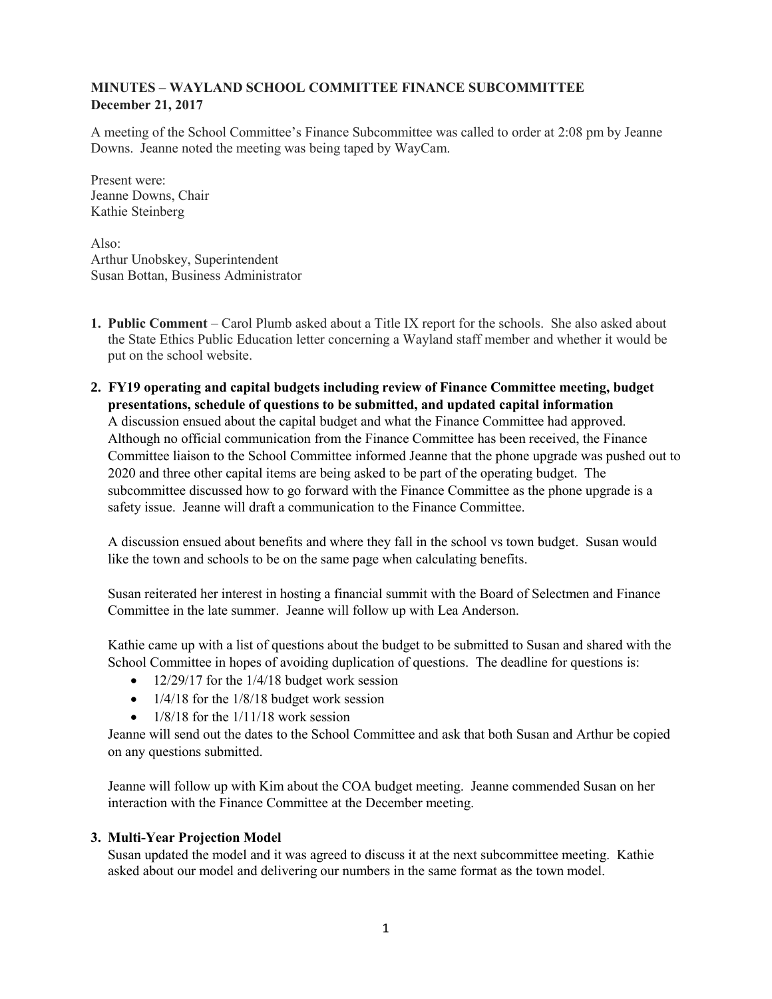# **MINUTES – WAYLAND SCHOOL COMMITTEE FINANCE SUBCOMMITTEE December 21, 2017**

A meeting of the School Committee's Finance Subcommittee was called to order at 2:08 pm by Jeanne Downs. Jeanne noted the meeting was being taped by WayCam.

Present were: Jeanne Downs, Chair Kathie Steinberg

 $Also:$ Arthur Unobskey, Superintendent Susan Bottan, Business Administrator

- **1. Public Comment** Carol Plumb asked about a Title IX report for the schools. She also asked about the State Ethics Public Education letter concerning a Wayland staff member and whether it would be put on the school website.
- **2. FY19 operating and capital budgets including review of Finance Committee meeting, budget presentations, schedule of questions to be submitted, and updated capital information** A discussion ensued about the capital budget and what the Finance Committee had approved. Although no official communication from the Finance Committee has been received, the Finance Committee liaison to the School Committee informed Jeanne that the phone upgrade was pushed out to 2020 and three other capital items are being asked to be part of the operating budget. The subcommittee discussed how to go forward with the Finance Committee as the phone upgrade is a safety issue. Jeanne will draft a communication to the Finance Committee.

A discussion ensued about benefits and where they fall in the school vs town budget. Susan would like the town and schools to be on the same page when calculating benefits.

Susan reiterated her interest in hosting a financial summit with the Board of Selectmen and Finance Committee in the late summer. Jeanne will follow up with Lea Anderson.

Kathie came up with a list of questions about the budget to be submitted to Susan and shared with the School Committee in hopes of avoiding duplication of questions. The deadline for questions is:

- $\bullet$  12/29/17 for the 1/4/18 budget work session
- $\bullet$  1/4/18 for the 1/8/18 budget work session
- 1/8/18 for the 1/11/18 work session

Jeanne will send out the dates to the School Committee and ask that both Susan and Arthur be copied on any questions submitted.

Jeanne will follow up with Kim about the COA budget meeting. Jeanne commended Susan on her interaction with the Finance Committee at the December meeting.

# **3. Multi-Year Projection Model**

Susan updated the model and it was agreed to discuss it at the next subcommittee meeting. Kathie asked about our model and delivering our numbers in the same format as the town model.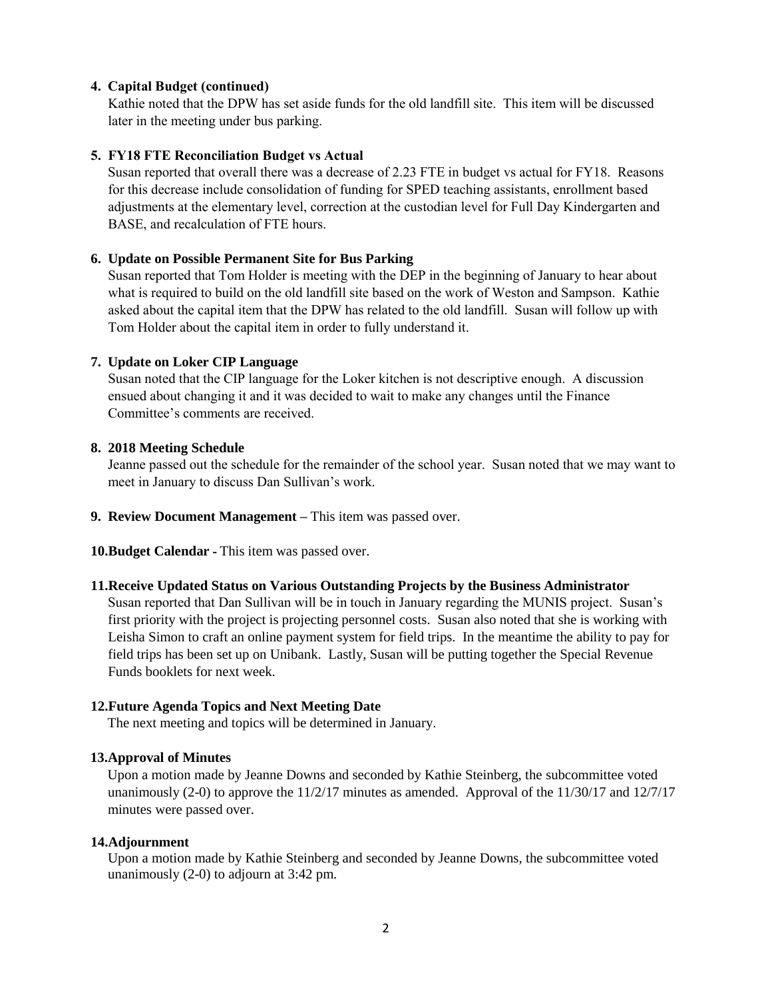### **4. Capital Budget (continued)**

Kathie noted that the DPW has set aside funds for the old landfill site. This item will be discussed later in the meeting under bus parking.

#### **5. FY18 FTE Reconciliation Budget vs Actual**

Susan reported that overall there was a decrease of 2.23 FTE in budget vs actual for FY18. Reasons for this decrease include consolidation of funding for SPED teaching assistants, enrollment based adjustments at the elementary level, correction at the custodian level for Full Day Kindergarten and BASE, and recalculation of FTE hours.

### **6. Update on Possible Permanent Site for Bus Parking**

Susan reported that Tom Holder is meeting with the DEP in the beginning of January to hear about what is required to build on the old landfill site based on the work of Weston and Sampson. Kathie asked about the capital item that the DPW has related to the old landfill. Susan will follow up with Tom Holder about the capital item in order to fully understand it.

## **7. Update on Loker CIP Language**

Susan noted that the CIP language for the Loker kitchen is not descriptive enough. A discussion ensued about changing it and it was decided to wait to make any changes until the Finance Committee's comments are received.

#### **8. 2018 Meeting Schedule**

Jeanne passed out the schedule for the remainder of the school year. Susan noted that we may want to meet in January to discuss Dan Sullivan's work.

**9. Review Document Management –** This item was passed over.

**10.Budget Calendar -** This item was passed over.

#### **11.Receive Updated Status on Various Outstanding Projects by the Business Administrator**

Susan reported that Dan Sullivan will be in touch in January regarding the MUNIS project. Susan's first priority with the project is projecting personnel costs. Susan also noted that she is working with Leisha Simon to craft an online payment system for field trips. In the meantime the ability to pay for field trips has been set up on Unibank. Lastly, Susan will be putting together the Special Revenue Funds booklets for next week.

#### **12.Future Agenda Topics and Next Meeting Date**

The next meeting and topics will be determined in January.

#### **13.Approval of Minutes**

Upon a motion made by Jeanne Downs and seconded by Kathie Steinberg, the subcommittee voted unanimously (2-0) to approve the  $11/2/17$  minutes as amended. Approval of the  $11/30/17$  and  $12/7/17$ minutes were passed over.

#### **14.Adjournment**

Upon a motion made by Kathie Steinberg and seconded by Jeanne Downs, the subcommittee voted unanimously (2-0) to adjourn at 3:42 pm.